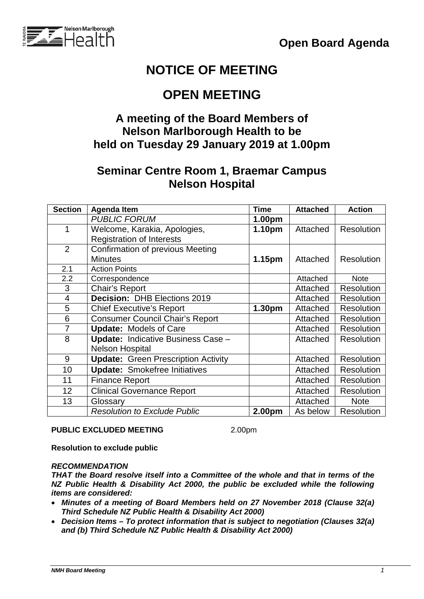

# **NOTICE OF MEETING**

## **OPEN MEETING**

#### **A meeting of the Board Members of Nelson Marlborough Health to be held on Tuesday 29 January 2019 at 1.00pm**

### **Seminar Centre Room 1, Braemar Campus Nelson Hospital**

| <b>Section</b> | <b>Agenda Item</b>                         | <b>Time</b> | <b>Attached</b> | <b>Action</b>     |
|----------------|--------------------------------------------|-------------|-----------------|-------------------|
|                | <b>PUBLIC FORUM</b>                        | 1.00pm      |                 |                   |
| 1              | Welcome, Karakia, Apologies,               | 1.10pm      | Attached        | <b>Resolution</b> |
|                | <b>Registration of Interests</b>           |             |                 |                   |
| $\overline{2}$ | <b>Confirmation of previous Meeting</b>    |             |                 |                   |
|                | <b>Minutes</b>                             | 1.15pm      | Attached        | <b>Resolution</b> |
| 2.1            | <b>Action Points</b>                       |             |                 |                   |
| 2.2            | Correspondence                             |             | Attached        | <b>Note</b>       |
| 3              | Chair's Report                             |             | Attached        | <b>Resolution</b> |
| 4              | <b>Decision: DHB Elections 2019</b>        |             | Attached        | <b>Resolution</b> |
| 5              | <b>Chief Executive's Report</b>            | 1.30pm      | Attached        | <b>Resolution</b> |
| 6              | <b>Consumer Council Chair's Report</b>     |             | Attached        | <b>Resolution</b> |
| $\overline{7}$ | <b>Update: Models of Care</b>              |             | Attached        | <b>Resolution</b> |
| 8              | <b>Update: Indicative Business Case -</b>  |             | Attached        | <b>Resolution</b> |
|                | <b>Nelson Hospital</b>                     |             |                 |                   |
| 9              | <b>Update: Green Prescription Activity</b> |             | Attached        | <b>Resolution</b> |
| 10             | <b>Update: Smokefree Initiatives</b>       |             | Attached        | <b>Resolution</b> |
| 11             | <b>Finance Report</b>                      |             | Attached        | <b>Resolution</b> |
| 12             | <b>Clinical Governance Report</b>          |             | Attached        | <b>Resolution</b> |
| 13             | Glossary                                   |             | Attached        | <b>Note</b>       |
|                | <b>Resolution to Exclude Public</b>        | 2.00pm      | As below        | <b>Resolution</b> |

#### **PUBLIC EXCLUDED MEETING** 2.00pm

**Resolution to exclude public**

#### *RECOMMENDATION*

*THAT the Board resolve itself into a Committee of the whole and that in terms of the NZ Public Health & Disability Act 2000, the public be excluded while the following items are considered:*

- *Minutes of a meeting of Board Members held on 27 November 2018 (Clause 32(a) Third Schedule NZ Public Health & Disability Act 2000)*
- *Decision Items – To protect information that is subject to negotiation (Clauses 32(a) and (b) Third Schedule NZ Public Health & Disability Act 2000)*